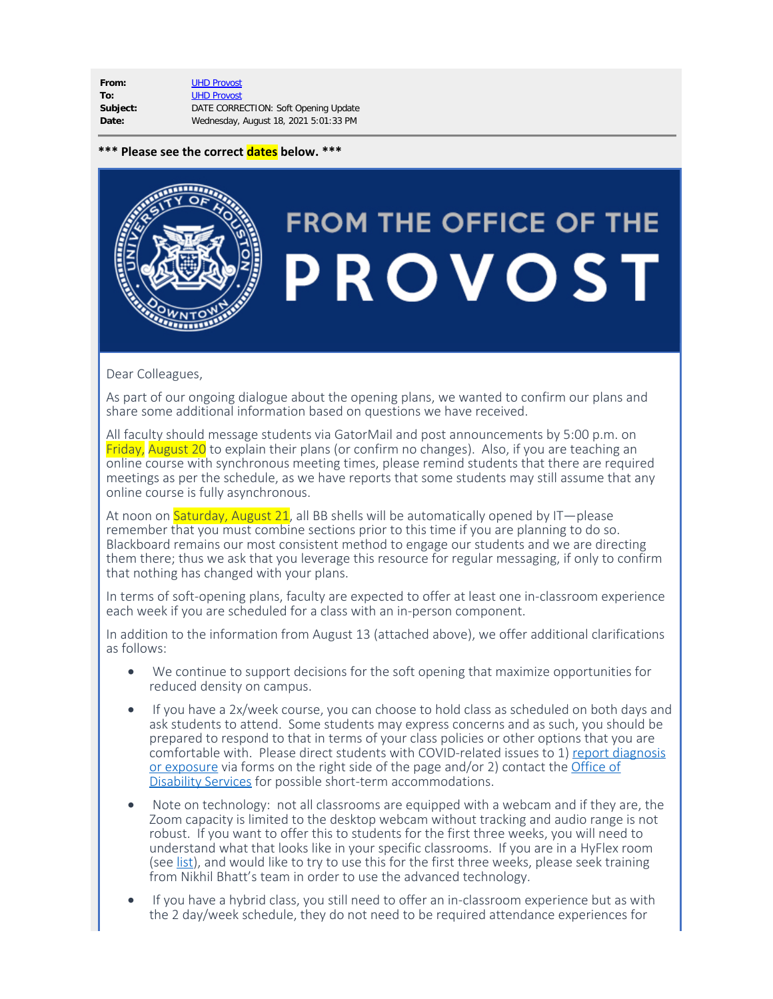**From:** [UHD Provost](mailto:/O=EXCHANGELABS/OU=EXCHANGE ADMINISTRATIVE GROUP (FYDIBOHF23SPDLT)/CN=RECIPIENTS/CN=CA4FD1BEF70A42B9B8967FBECB63B41B-PROVOST) **To:** [UHD Provost](mailto:provost@uhd.edu) **Subject:** DATE CORRECTION: Soft Opening Update **Date:** Wednesday, August 18, 2021 5:01:33 PM

 $\pi \pi \pi$ 

**\*\*\* Please see the correct dates below. \*\*\***

## **FROM THE OFFICE OF THE** PROVOST

Dear Colleagues,

As part of our ongoing dialogue about the opening plans, we wanted to confirm our plans and share some additional information based on questions we have received.

All faculty should message students via GatorMail and post announcements by 5:00 p.m. on Friday, August 20 to explain their plans (or confirm no changes). Also, if you are teaching an online course with synchronous meeting times, please remind students that there are required meetings as per the schedule, as we have reports that some students may still assume that any online course is fully asynchronous.

At noon on Saturday, August 21, all BB shells will be automatically opened by IT—please remember that you must combine sections prior to this time if you are planning to do so. Blackboard remains our most consistent method to engage our students and we are directing them there; thus we ask that you leverage this resource for regular messaging, if only to confirm that nothing has changed with your plans.

In terms of soft-opening plans, faculty are expected to offer at least one in-classroom experience each week if you are scheduled for a class with an in-person component.

In addition to the information from August 13 (attached above), we offer additional clarifications as follows:

- We continue to support decisions for the soft opening that maximize opportunities for reduced density on campus.
- · If you have a 2x/week course, you can choose to hold class as scheduled on both days and ask students to attend. Some students may express concerns and as such, you should be prepared to respond to that in terms of your class policies or other options that you are comfortable with. Please direct students with COVID-related issues to 1) [report diagnosis](https://www.uhd.edu/administration/emergency-management/coronavirus/Pages/default.aspx) [or exposure](https://www.uhd.edu/administration/emergency-management/coronavirus/Pages/default.aspx) via forms on the right side of the page and/or 2) contact the [Office of](https://www.uhd.edu/student-life/disability/Pages/disability-index.aspx) [Disability Services](https://www.uhd.edu/student-life/disability/Pages/disability-index.aspx) for possible short-term accommodations.
- Note on technology: not all classrooms are equipped with a webcam and if they are, the Zoom capacity is limited to the desktop webcam without tracking and audio range is not robust. If you want to offer this to students for the first three weeks, you will need to understand what that looks like in your specific classrooms. If you are in a HyFlex room (see [list](https://www.uhd.edu/academics/Pages/HyFlex.aspx)), and would like to try to use this for the first three weeks, please seek training from Nikhil Bhatt's team in order to use the advanced technology.
- · If you have a hybrid class, you still need to offer an in-classroom experience but as with the 2 day/week schedule, they do not need to be required attendance experiences for